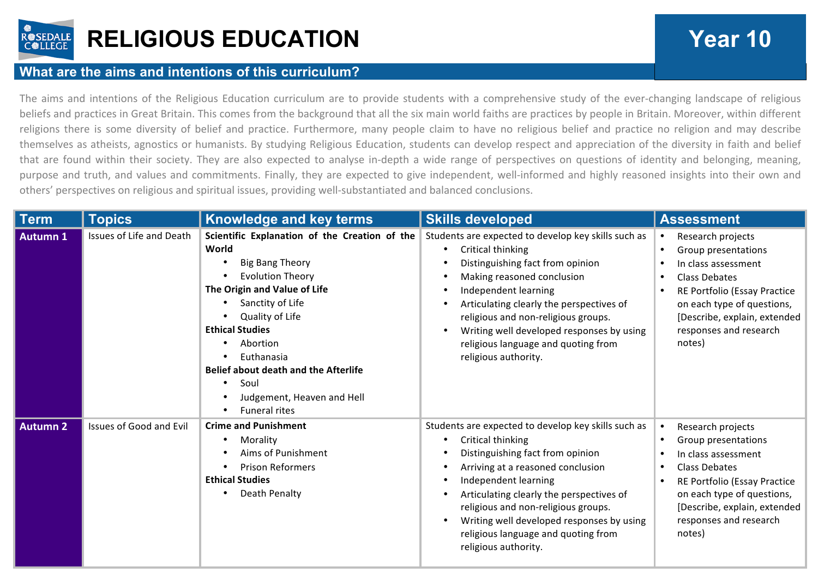

## **RELIGIOUS EDUCATION Year 10**

## **What are the aims and intentions of this curriculum?**

The aims and intentions of the Religious Education curriculum are to provide students with a comprehensive study of the ever-changing landscape of religious beliefs and practices in Great Britain. This comes from the background that all the six main world faiths are practices by people in Britain. Moreover, within different religions there is some diversity of belief and practice. Furthermore, many people claim to have no religious belief and practice no religion and may describe themselves as atheists, agnostics or humanists. By studying Religious Education, students can develop respect and appreciation of the diversity in faith and belief that are found within their society. They are also expected to analyse in-depth a wide range of perspectives on questions of identity and belonging, meaning, purpose and truth, and values and commitments. Finally, they are expected to give independent, well-informed and highly reasoned insights into their own and others' perspectives on religious and spiritual issues, providing well-substantiated and balanced conclusions.

| <b>Term</b>     | <b>Topics</b>            | <b>Knowledge and key terms</b>                                                                                                                                                                                                                                                                                                                      | <b>Skills developed</b>                                                                                                                                                                                                                                                                                                                                                                                              | <b>Assessment</b>                                                                                                                                                                                                         |
|-----------------|--------------------------|-----------------------------------------------------------------------------------------------------------------------------------------------------------------------------------------------------------------------------------------------------------------------------------------------------------------------------------------------------|----------------------------------------------------------------------------------------------------------------------------------------------------------------------------------------------------------------------------------------------------------------------------------------------------------------------------------------------------------------------------------------------------------------------|---------------------------------------------------------------------------------------------------------------------------------------------------------------------------------------------------------------------------|
| Autumn 1        | Issues of Life and Death | Scientific Explanation of the Creation of the<br>World<br><b>Big Bang Theory</b><br><b>Evolution Theory</b><br>The Origin and Value of Life<br>Sanctity of Life<br>Quality of Life<br><b>Ethical Studies</b><br>Abortion<br>Euthanasia<br><b>Belief about death and the Afterlife</b><br>Soul<br>Judgement, Heaven and Hell<br><b>Funeral rites</b> | Students are expected to develop key skills such as<br>Critical thinking<br>$\bullet$<br>Distinguishing fact from opinion<br>Making reasoned conclusion<br>$\bullet$<br>Independent learning<br>٠<br>Articulating clearly the perspectives of<br>religious and non-religious groups.<br>Writing well developed responses by using<br>$\bullet$<br>religious language and quoting from<br>religious authority.        | Research projects<br>Group presentations<br>In class assessment<br><b>Class Debates</b><br>RE Portfolio (Essay Practice<br>on each type of questions,<br>[Describe, explain, extended<br>responses and research<br>notes) |
| <b>Autumn 2</b> | Issues of Good and Evil  | <b>Crime and Punishment</b><br>Morality<br>Aims of Punishment<br><b>Prison Reformers</b><br><b>Ethical Studies</b><br>Death Penalty                                                                                                                                                                                                                 | Students are expected to develop key skills such as<br>Critical thinking<br>٠<br>Distinguishing fact from opinion<br>Arriving at a reasoned conclusion<br>$\bullet$<br>Independent learning<br>$\bullet$<br>Articulating clearly the perspectives of<br>$\bullet$<br>religious and non-religious groups.<br>Writing well developed responses by using<br>religious language and quoting from<br>religious authority. | Research projects<br>Group presentations<br>In class assessment<br><b>Class Debates</b><br>RE Portfolio (Essay Practice<br>on each type of questions,<br>[Describe, explain, extended<br>responses and research<br>notes) |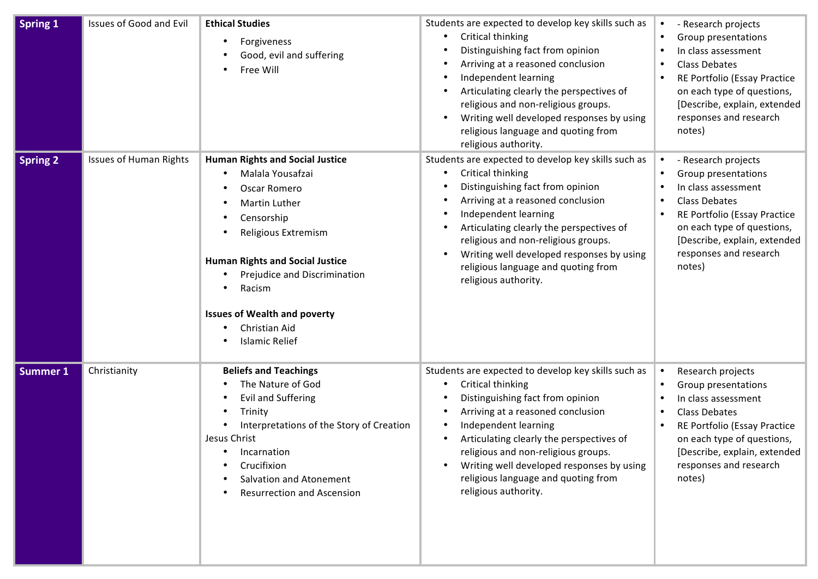| Spring 1        | <b>Issues of Good and Evil</b> | <b>Ethical Studies</b><br>Forgiveness<br>Good, evil and suffering<br>Free Will                                                                                                                                                                                                                               | Students are expected to develop key skills such as<br>Critical thinking<br>$\bullet$<br>Distinguishing fact from opinion<br>$\bullet$<br>Arriving at a reasoned conclusion<br>$\bullet$<br>Independent learning<br>$\bullet$<br>Articulating clearly the perspectives of<br>$\bullet$<br>religious and non-religious groups.<br>Writing well developed responses by using<br>$\bullet$<br>religious language and quoting from<br>religious authority. | - Research projects<br>Group presentations<br>In class assessment<br><b>Class Debates</b><br>RE Portfolio (Essay Practice<br>on each type of questions,<br>[Describe, explain, extended<br>responses and research<br>notes)            |
|-----------------|--------------------------------|--------------------------------------------------------------------------------------------------------------------------------------------------------------------------------------------------------------------------------------------------------------------------------------------------------------|--------------------------------------------------------------------------------------------------------------------------------------------------------------------------------------------------------------------------------------------------------------------------------------------------------------------------------------------------------------------------------------------------------------------------------------------------------|----------------------------------------------------------------------------------------------------------------------------------------------------------------------------------------------------------------------------------------|
| <b>Spring 2</b> | <b>Issues of Human Rights</b>  | <b>Human Rights and Social Justice</b><br>Malala Yousafzai<br>Oscar Romero<br><b>Martin Luther</b><br>Censorship<br>Religious Extremism<br><b>Human Rights and Social Justice</b><br>Prejudice and Discrimination<br>Racism<br><b>Issues of Wealth and poverty</b><br>Christian Aid<br><b>Islamic Relief</b> | Students are expected to develop key skills such as<br>Critical thinking<br>$\bullet$<br>Distinguishing fact from opinion<br>$\bullet$<br>Arriving at a reasoned conclusion<br>$\bullet$<br>Independent learning<br>$\bullet$<br>Articulating clearly the perspectives of<br>$\bullet$<br>religious and non-religious groups.<br>Writing well developed responses by using<br>$\bullet$<br>religious language and quoting from<br>religious authority. | - Research projects<br>Group presentations<br>In class assessment<br><b>Class Debates</b><br>RE Portfolio (Essay Practice<br>on each type of questions,<br>[Describe, explain, extended<br>responses and research<br>notes)            |
| <b>Summer 1</b> | Christianity                   | <b>Beliefs and Teachings</b><br>The Nature of God<br><b>Evil and Suffering</b><br>Trinity<br>Interpretations of the Story of Creation<br>Jesus Christ<br>Incarnation<br>Crucifixion<br>Salvation and Atonement<br><b>Resurrection and Ascension</b>                                                          | Students are expected to develop key skills such as<br>Critical thinking<br>$\bullet$<br>Distinguishing fact from opinion<br>$\bullet$<br>Arriving at a reasoned conclusion<br>$\bullet$<br>Independent learning<br>$\bullet$<br>Articulating clearly the perspectives of<br>$\bullet$<br>religious and non-religious groups.<br>Writing well developed responses by using<br>religious language and quoting from<br>religious authority.              | Research projects<br>$\bullet$<br>Group presentations<br>In class assessment<br><b>Class Debates</b><br>RE Portfolio (Essay Practice<br>on each type of questions,<br>[Describe, explain, extended<br>responses and research<br>notes) |